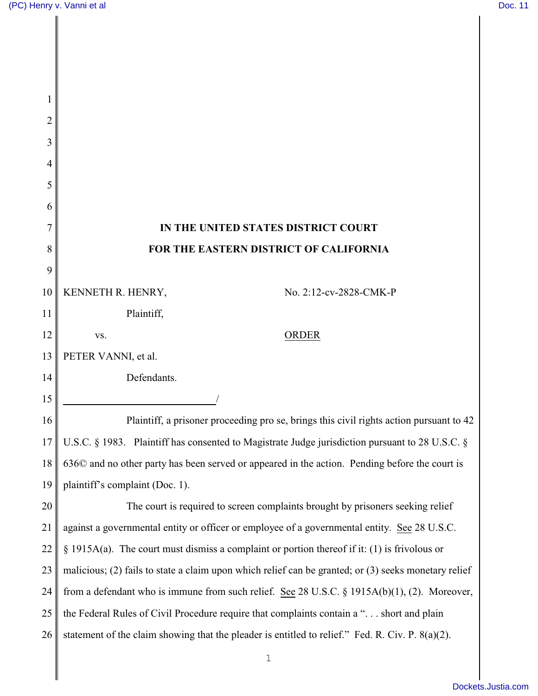| 2  |                                                                                                       |
|----|-------------------------------------------------------------------------------------------------------|
| 3  |                                                                                                       |
| 4  |                                                                                                       |
| 5  |                                                                                                       |
| 6  |                                                                                                       |
| 7  | IN THE UNITED STATES DISTRICT COURT                                                                   |
| 8  | FOR THE EASTERN DISTRICT OF CALIFORNIA                                                                |
| 9  |                                                                                                       |
| 10 | KENNETH R. HENRY,<br>No. 2:12-cv-2828-CMK-P                                                           |
| 11 | Plaintiff,                                                                                            |
| 12 | <b>ORDER</b><br>VS.                                                                                   |
| 13 | PETER VANNI, et al.                                                                                   |
| 14 | Defendants.                                                                                           |
| 15 |                                                                                                       |
| 16 | Plaintiff, a prisoner proceeding pro se, brings this civil rights action pursuant to 42               |
| 17 | U.S.C. § 1983. Plaintiff has consented to Magistrate Judge jurisdiction pursuant to 28 U.S.C. §       |
| 18 | 636 $\odot$ and no other party has been served or appeared in the action. Pending before the court is |
| 19 | plaintiff's complaint (Doc. 1).                                                                       |
| 20 | The court is required to screen complaints brought by prisoners seeking relief                        |
| 21 | against a governmental entity or officer or employee of a governmental entity. See 28 U.S.C.          |
| 22 | $\S$ 1915A(a). The court must dismiss a complaint or portion thereof if it: (1) is frivolous or       |
| 23 | malicious; (2) fails to state a claim upon which relief can be granted; or (3) seeks monetary relief  |
| 24 | from a defendant who is immune from such relief. See 28 U.S.C. § 1915A(b)(1), (2). Moreover,          |
| 25 | the Federal Rules of Civil Procedure require that complaints contain a " short and plain              |
| 26 | statement of the claim showing that the pleader is entitled to relief." Fed. R. Civ. P. 8(a)(2).      |
|    | $\mathbf 1$                                                                                           |
|    |                                                                                                       |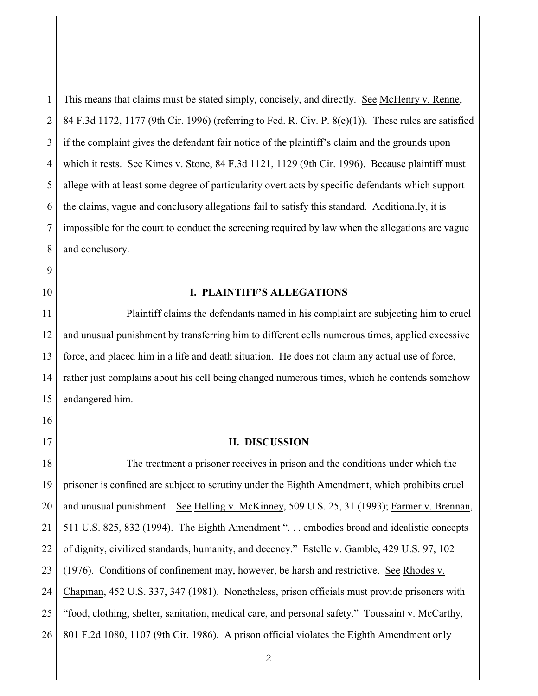1 2 3 4 5 6 7 8 This means that claims must be stated simply, concisely, and directly. See McHenry v. Renne, 84 F.3d 1172, 1177 (9th Cir. 1996) (referring to Fed. R. Civ. P. 8(e)(1)). These rules are satisfied if the complaint gives the defendant fair notice of the plaintiff's claim and the grounds upon which it rests. See Kimes v. Stone, 84 F.3d 1121, 1129 (9th Cir. 1996). Because plaintiff must allege with at least some degree of particularity overt acts by specific defendants which support the claims, vague and conclusory allegations fail to satisfy this standard. Additionally, it is impossible for the court to conduct the screening required by law when the allegations are vague and conclusory.

**I. PLAINTIFF'S ALLEGATIONS**

9

10

16

17

11 12 13 14 15 Plaintiff claims the defendants named in his complaint are subjecting him to cruel and unusual punishment by transferring him to different cells numerous times, applied excessive force, and placed him in a life and death situation. He does not claim any actual use of force, rather just complains about his cell being changed numerous times, which he contends somehow endangered him.

## **II. DISCUSSION**

18 19 20 21 22 23 24 25 26 The treatment a prisoner receives in prison and the conditions under which the prisoner is confined are subject to scrutiny under the Eighth Amendment, which prohibits cruel and unusual punishment. See Helling v. McKinney, 509 U.S. 25, 31 (1993); Farmer v. Brennan, 511 U.S. 825, 832 (1994). The Eighth Amendment ". . . embodies broad and idealistic concepts of dignity, civilized standards, humanity, and decency." Estelle v. Gamble, 429 U.S. 97, 102 (1976). Conditions of confinement may, however, be harsh and restrictive. See Rhodes v. Chapman, 452 U.S. 337, 347 (1981). Nonetheless, prison officials must provide prisoners with "food, clothing, shelter, sanitation, medical care, and personal safety." Toussaint v. McCarthy, 801 F.2d 1080, 1107 (9th Cir. 1986). A prison official violates the Eighth Amendment only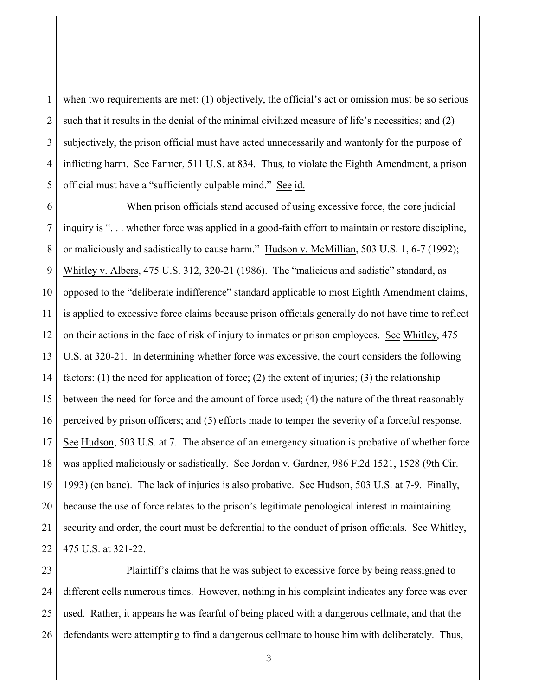1 2 3 4 5 when two requirements are met: (1) objectively, the official's act or omission must be so serious such that it results in the denial of the minimal civilized measure of life's necessities; and (2) subjectively, the prison official must have acted unnecessarily and wantonly for the purpose of inflicting harm. See Farmer, 511 U.S. at 834. Thus, to violate the Eighth Amendment, a prison official must have a "sufficiently culpable mind." See id.

6 7 8 9 10 11 12 13 14 15 16 17 18 19 20 21 22 When prison officials stand accused of using excessive force, the core judicial inquiry is ". . . whether force was applied in a good-faith effort to maintain or restore discipline, or maliciously and sadistically to cause harm." Hudson v. McMillian, 503 U.S. 1, 6-7 (1992); Whitley v. Albers, 475 U.S. 312, 320-21 (1986). The "malicious and sadistic" standard, as opposed to the "deliberate indifference" standard applicable to most Eighth Amendment claims, is applied to excessive force claims because prison officials generally do not have time to reflect on their actions in the face of risk of injury to inmates or prison employees. See Whitley, 475 U.S. at 320-21. In determining whether force was excessive, the court considers the following factors: (1) the need for application of force; (2) the extent of injuries; (3) the relationship between the need for force and the amount of force used; (4) the nature of the threat reasonably perceived by prison officers; and (5) efforts made to temper the severity of a forceful response. See Hudson, 503 U.S. at 7. The absence of an emergency situation is probative of whether force was applied maliciously or sadistically. See Jordan v. Gardner, 986 F.2d 1521, 1528 (9th Cir. 1993) (en banc). The lack of injuries is also probative. See Hudson, 503 U.S. at 7-9. Finally, because the use of force relates to the prison's legitimate penological interest in maintaining security and order, the court must be deferential to the conduct of prison officials. See Whitley, 475 U.S. at 321-22.

23 24 25 26 Plaintiff's claims that he was subject to excessive force by being reassigned to different cells numerous times. However, nothing in his complaint indicates any force was ever used. Rather, it appears he was fearful of being placed with a dangerous cellmate, and that the defendants were attempting to find a dangerous cellmate to house him with deliberately. Thus,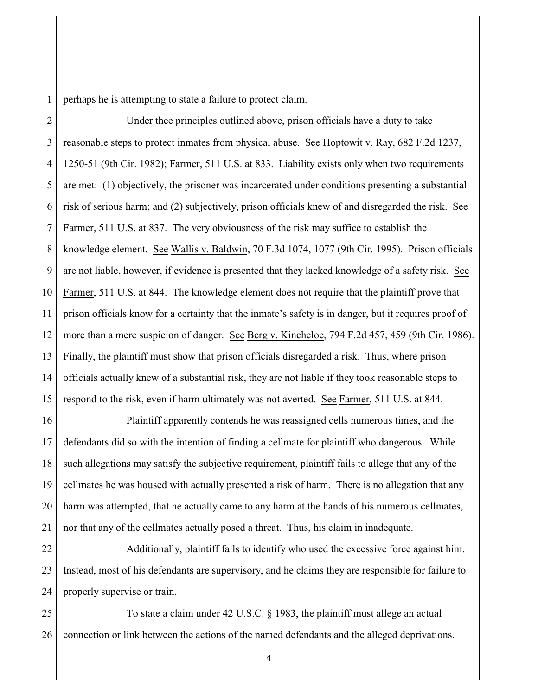perhaps he is attempting to state a failure to protect claim.

2 3 4 5 6 7 8 9 10 11 12 13 14 15 Under thee principles outlined above, prison officials have a duty to take reasonable steps to protect inmates from physical abuse. See Hoptowit v. Ray, 682 F.2d 1237, 1250-51 (9th Cir. 1982); Farmer, 511 U.S. at 833. Liability exists only when two requirements are met: (1) objectively, the prisoner was incarcerated under conditions presenting a substantial risk of serious harm; and (2) subjectively, prison officials knew of and disregarded the risk. See Farmer, 511 U.S. at 837. The very obviousness of the risk may suffice to establish the knowledge element. See Wallis v. Baldwin, 70 F.3d 1074, 1077 (9th Cir. 1995). Prison officials are not liable, however, if evidence is presented that they lacked knowledge of a safety risk. See Farmer, 511 U.S. at 844. The knowledge element does not require that the plaintiff prove that prison officials know for a certainty that the inmate's safety is in danger, but it requires proof of more than a mere suspicion of danger. See Berg v. Kincheloe, 794 F.2d 457, 459 (9th Cir. 1986). Finally, the plaintiff must show that prison officials disregarded a risk. Thus, where prison officials actually knew of a substantial risk, they are not liable if they took reasonable steps to respond to the risk, even if harm ultimately was not averted. See Farmer, 511 U.S. at 844.

16 17 18 19 20 21 Plaintiff apparently contends he was reassigned cells numerous times, and the defendants did so with the intention of finding a cellmate for plaintiff who dangerous. While such allegations may satisfy the subjective requirement, plaintiff fails to allege that any of the cellmates he was housed with actually presented a risk of harm. There is no allegation that any harm was attempted, that he actually came to any harm at the hands of his numerous cellmates, nor that any of the cellmates actually posed a threat. Thus, his claim in inadequate.

22 23 24 Additionally, plaintiff fails to identify who used the excessive force against him. Instead, most of his defendants are supervisory, and he claims they are responsible for failure to properly supervise or train.

25 26 To state a claim under 42 U.S.C. § 1983, the plaintiff must allege an actual connection or link between the actions of the named defendants and the alleged deprivations.

4

1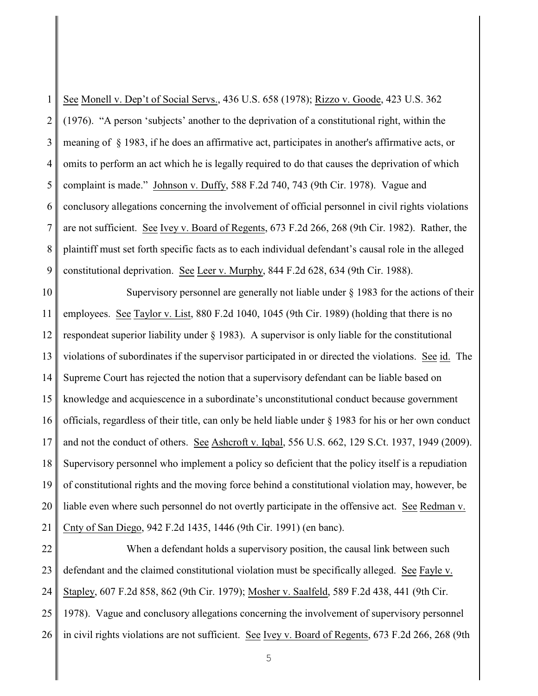1 2 3 4 5 6 7 8 9 See Monell v. Dep't of Social Servs., 436 U.S. 658 (1978); Rizzo v. Goode, 423 U.S. 362 (1976). "A person 'subjects' another to the deprivation of a constitutional right, within the meaning of § 1983, if he does an affirmative act, participates in another's affirmative acts, or omits to perform an act which he is legally required to do that causes the deprivation of which complaint is made." Johnson v. Duffy, 588 F.2d 740, 743 (9th Cir. 1978). Vague and conclusory allegations concerning the involvement of official personnel in civil rights violations are not sufficient. See Ivey v. Board of Regents, 673 F.2d 266, 268 (9th Cir. 1982). Rather, the plaintiff must set forth specific facts as to each individual defendant's causal role in the alleged constitutional deprivation. See Leer v. Murphy, 844 F.2d 628, 634 (9th Cir. 1988).

10 11 12 13 14 15 16 17 18 19 20 21 Supervisory personnel are generally not liable under § 1983 for the actions of their employees. See Taylor v. List, 880 F.2d 1040, 1045 (9th Cir. 1989) (holding that there is no respondeat superior liability under § 1983). A supervisor is only liable for the constitutional violations of subordinates if the supervisor participated in or directed the violations. See id. The Supreme Court has rejected the notion that a supervisory defendant can be liable based on knowledge and acquiescence in a subordinate's unconstitutional conduct because government officials, regardless of their title, can only be held liable under § 1983 for his or her own conduct and not the conduct of others. See Ashcroft v. Iqbal, 556 U.S. 662, 129 S.Ct. 1937, 1949 (2009). Supervisory personnel who implement a policy so deficient that the policy itself is a repudiation of constitutional rights and the moving force behind a constitutional violation may, however, be liable even where such personnel do not overtly participate in the offensive act. See Redman v. Cnty of San Diego, 942 F.2d 1435, 1446 (9th Cir. 1991) (en banc).

22 23 24 25 26 When a defendant holds a supervisory position, the causal link between such defendant and the claimed constitutional violation must be specifically alleged. See Fayle v. Stapley, 607 F.2d 858, 862 (9th Cir. 1979); Mosher v. Saalfeld, 589 F.2d 438, 441 (9th Cir. 1978). Vague and conclusory allegations concerning the involvement of supervisory personnel in civil rights violations are not sufficient. See Ivey v. Board of Regents, 673 F.2d 266, 268 (9th

5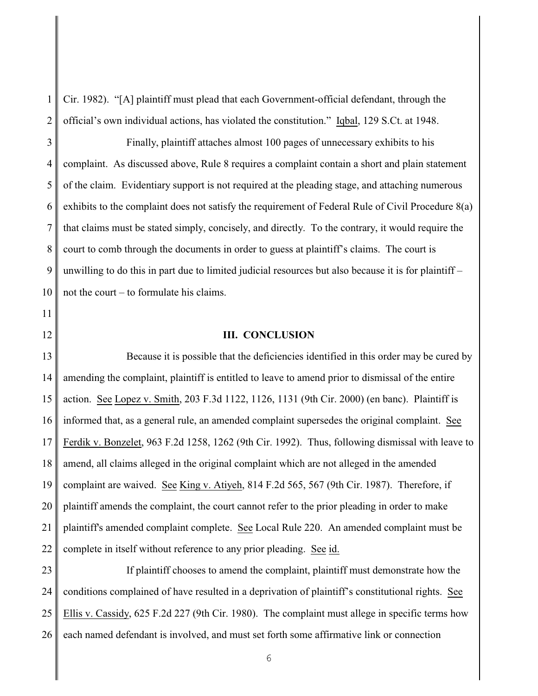1 2 Cir. 1982). "[A] plaintiff must plead that each Government-official defendant, through the official's own individual actions, has violated the constitution." Iqbal, 129 S.Ct. at 1948.

3 4 5 6 7 8 9 10 Finally, plaintiff attaches almost 100 pages of unnecessary exhibits to his complaint. As discussed above, Rule 8 requires a complaint contain a short and plain statement of the claim. Evidentiary support is not required at the pleading stage, and attaching numerous exhibits to the complaint does not satisfy the requirement of Federal Rule of Civil Procedure 8(a) that claims must be stated simply, concisely, and directly. To the contrary, it would require the court to comb through the documents in order to guess at plaintiff's claims. The court is unwilling to do this in part due to limited judicial resources but also because it is for plaintiff – not the court – to formulate his claims.

## **III. CONCLUSION**

13 14 15 16 17 18 19 20 21 22 Because it is possible that the deficiencies identified in this order may be cured by amending the complaint, plaintiff is entitled to leave to amend prior to dismissal of the entire action. See Lopez v. Smith, 203 F.3d 1122, 1126, 1131 (9th Cir. 2000) (en banc). Plaintiff is informed that, as a general rule, an amended complaint supersedes the original complaint. See Ferdik v. Bonzelet, 963 F.2d 1258, 1262 (9th Cir. 1992). Thus, following dismissal with leave to amend, all claims alleged in the original complaint which are not alleged in the amended complaint are waived. See King v. Atiyeh, 814 F.2d 565, 567 (9th Cir. 1987). Therefore, if plaintiff amends the complaint, the court cannot refer to the prior pleading in order to make plaintiff's amended complaint complete. See Local Rule 220. An amended complaint must be complete in itself without reference to any prior pleading. See id.

23 24 25 26 If plaintiff chooses to amend the complaint, plaintiff must demonstrate how the conditions complained of have resulted in a deprivation of plaintiff's constitutional rights. See Ellis v. Cassidy, 625 F.2d 227 (9th Cir. 1980). The complaint must allege in specific terms how each named defendant is involved, and must set forth some affirmative link or connection

6

11

12